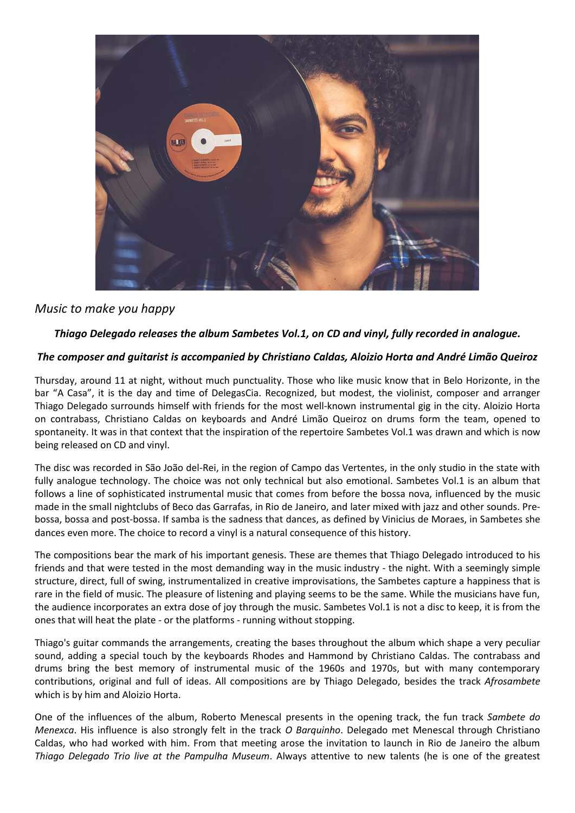

# *Music to make you happy*

## *Thiago Delegado releases the album Sambetes Vol.1, on CD and vinyl, fully recorded in analogue.*

### *The composer and guitarist is accompanied by Christiano Caldas, Aloizio Horta and André Limão Queiroz*

Thursday, around 11 at night, without much punctuality. Those who like music know that in Belo Horizonte, in the bar "A Casa", it is the day and time of DelegasCia. Recognized, but modest, the violinist, composer and arranger Thiago Delegado surrounds himself with friends for the most well-known instrumental gig in the city. Aloizio Horta on contrabass, Christiano Caldas on keyboards and André Limão Queiroz on drums form the team, opened to spontaneity. It was in that context that the inspiration of the repertoire Sambetes Vol.1 was drawn and which is now being released on CD and vinyl.

The disc was recorded in São João del-Rei, in the region of Campo das Vertentes, in the only studio in the state with fully analogue technology. The choice was not only technical but also emotional. Sambetes Vol.1 is an album that follows a line of sophisticated instrumental music that comes from before the bossa nova, influenced by the music made in the small nightclubs of Beco das Garrafas, in Rio de Janeiro, and later mixed with jazz and other sounds. Prebossa, bossa and post-bossa. If samba is the sadness that dances, as defined by Vinicius de Moraes, in Sambetes she dances even more. The choice to record a vinyl is a natural consequence of this history.

The compositions bear the mark of his important genesis. These are themes that Thiago Delegado introduced to his friends and that were tested in the most demanding way in the music industry - the night. With a seemingly simple structure, direct, full of swing, instrumentalized in creative improvisations, the Sambetes capture a happiness that is rare in the field of music. The pleasure of listening and playing seems to be the same. While the musicians have fun, the audience incorporates an extra dose of joy through the music. Sambetes Vol.1 is not a disc to keep, it is from the ones that will heat the plate - or the platforms - running without stopping.

Thiago's guitar commands the arrangements, creating the bases throughout the album which shape a very peculiar sound, adding a special touch by the keyboards Rhodes and Hammond by Christiano Caldas. The contrabass and drums bring the best memory of instrumental music of the 1960s and 1970s, but with many contemporary contributions, original and full of ideas. All compositions are by Thiago Delegado, besides the track *Afrosambete* which is by him and Aloizio Horta.

One of the influences of the album, Roberto Menescal presents in the opening track, the fun track *Sambete do Menexca*. His influence is also strongly felt in the track *O Barquinho*. Delegado met Menescal through Christiano Caldas, who had worked with him. From that meeting arose the invitation to launch in Rio de Janeiro the album *Thiago Delegado Trio live at the Pampulha Museum*. Always attentive to new talents (he is one of the greatest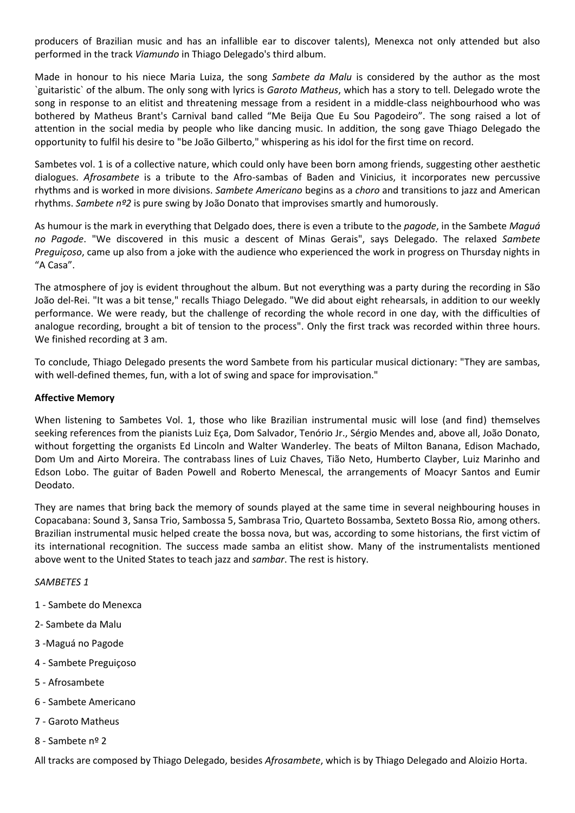producers of Brazilian music and has an infallible ear to discover talents), Menexca not only attended but also performed in the track *Viamundo* in Thiago Delegado's third album.

Made in honour to his niece Maria Luiza, the song *Sambete da Malu* is considered by the author as the most `guitaristic` of the album. The only song with lyrics is *Garoto Matheus*, which has a story to tell. Delegado wrote the song in response to an elitist and threatening message from a resident in a middle-class neighbourhood who was bothered by Matheus Brant's Carnival band called "Me Beija Que Eu Sou Pagodeiro". The song raised a lot of attention in the social media by people who like dancing music. In addition, the song gave Thiago Delegado the opportunity to fulfil his desire to "be João Gilberto," whispering as his idol for the first time on record.

Sambetes vol. 1 is of a collective nature, which could only have been born among friends, suggesting other aesthetic dialogues. *Afrosambete* is a tribute to the Afro-sambas of Baden and Vinicius, it incorporates new percussive rhythms and is worked in more divisions. *Sambete Americano* begins as a *choro* and transitions to jazz and American rhythms. *Sambete nº2* is pure swing by João Donato that improvises smartly and humorously.

As humour is the mark in everything that Delgado does, there is even a tribute to the *pagode*, in the Sambete *Maguá no Pagode*. "We discovered in this music a descent of Minas Gerais", says Delegado. The relaxed *Sambete Preguiçoso*, came up also from a joke with the audience who experienced the work in progress on Thursday nights in "A Casa".

The atmosphere of joy is evident throughout the album. But not everything was a party during the recording in São João del-Rei. "It was a bit tense," recalls Thiago Delegado. "We did about eight rehearsals, in addition to our weekly performance. We were ready, but the challenge of recording the whole record in one day, with the difficulties of analogue recording, brought a bit of tension to the process". Only the first track was recorded within three hours. We finished recording at 3 am.

To conclude, Thiago Delegado presents the word Sambete from his particular musical dictionary: "They are sambas, with well-defined themes, fun, with a lot of swing and space for improvisation."

#### **Affective Memory**

When listening to Sambetes Vol. 1, those who like Brazilian instrumental music will lose (and find) themselves seeking references from the pianists Luiz Eça, Dom Salvador, Tenório Jr., Sérgio Mendes and, above all, João Donato, without forgetting the organists Ed Lincoln and Walter Wanderley. The beats of Milton Banana, Edison Machado, Dom Um and Airto Moreira. The contrabass lines of Luiz Chaves, Tião Neto, Humberto Clayber, Luiz Marinho and Edson Lobo. The guitar of Baden Powell and Roberto Menescal, the arrangements of Moacyr Santos and Eumir Deodato.

They are names that bring back the memory of sounds played at the same time in several neighbouring houses in Copacabana: Sound 3, Sansa Trio, Sambossa 5, Sambrasa Trio, Quarteto Bossamba, Sexteto Bossa Rio, among others. Brazilian instrumental music helped create the bossa nova, but was, according to some historians, the first victim of its international recognition. The success made samba an elitist show. Many of the instrumentalists mentioned above went to the United States to teach jazz and *sambar*. The rest is history.

#### *SAMBETES 1*

- 1 Sambete do Menexca
- 2- Sambete da Malu
- 3 -Maguá no Pagode
- 4 Sambete Preguiçoso
- 5 Afrosambete
- 6 Sambete Americano
- 7 Garoto Matheus
- 8 Sambete nº 2

All tracks are composed by Thiago Delegado, besides *Afrosambete*, which is by Thiago Delegado and Aloizio Horta.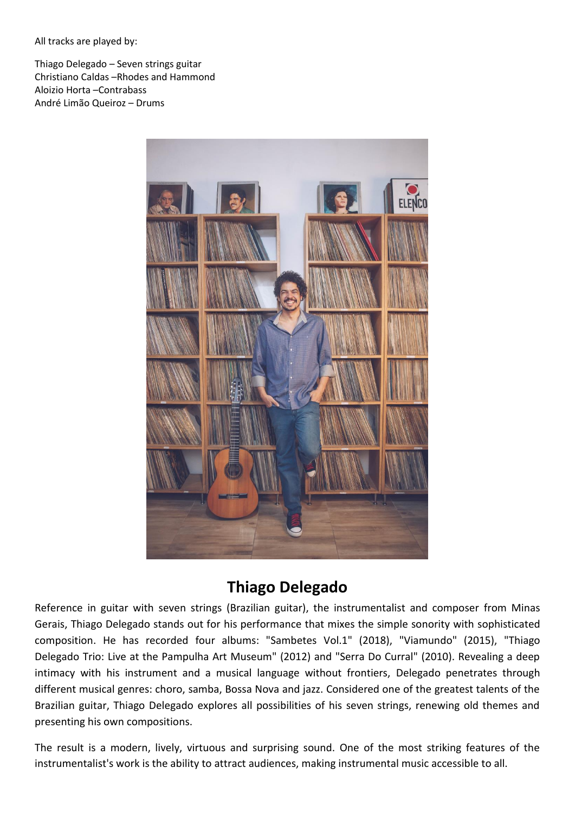All tracks are played by:

Thiago Delegado – Seven strings guitar Christiano Caldas –Rhodes and Hammond Aloizio Horta –Contrabass André Limão Queiroz – Drums



# **Thiago Delegado**

Reference in guitar with seven strings (Brazilian guitar), the instrumentalist and composer from Minas Gerais, Thiago Delegado stands out for his performance that mixes the simple sonority with sophisticated composition. He has recorded four albums: "Sambetes Vol.1" (2018), "Viamundo" (2015), "Thiago Delegado Trio: Live at the Pampulha Art Museum" (2012) and "Serra Do Curral" (2010). Revealing a deep intimacy with his instrument and a musical language without frontiers, Delegado penetrates through different musical genres: choro, samba, Bossa Nova and jazz. Considered one of the greatest talents of the Brazilian guitar, Thiago Delegado explores all possibilities of his seven strings, renewing old themes and presenting his own compositions.

The result is a modern, lively, virtuous and surprising sound. One of the most striking features of the instrumentalist's work is the ability to attract audiences, making instrumental music accessible to all.